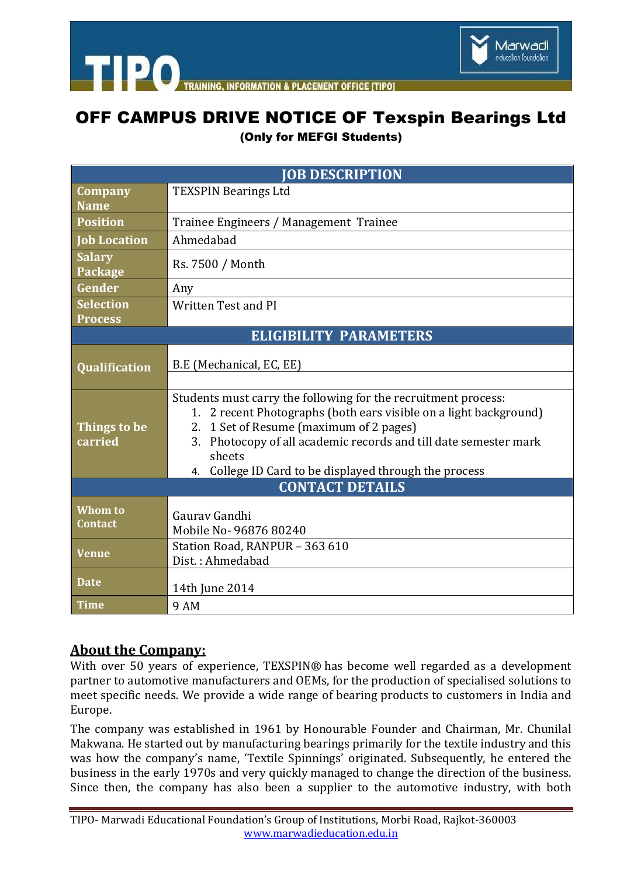

**ACEMENT OFFICE ITIPOL** 

# OFF CAMPUS DRIVE NOTICE OF Texspin Bearings Ltd

(Only for MEFGI Students)

| <b>JOB DESCRIPTION</b>        |                                                                                                                                                                                 |
|-------------------------------|---------------------------------------------------------------------------------------------------------------------------------------------------------------------------------|
| <b>Company</b>                | <b>TEXSPIN Bearings Ltd</b>                                                                                                                                                     |
| <b>Name</b>                   |                                                                                                                                                                                 |
| <b>Position</b>               | Trainee Engineers / Management Trainee                                                                                                                                          |
| <b>Job Location</b>           | Ahmedabad                                                                                                                                                                       |
| <b>Salary</b><br>Package      | Rs. 7500 / Month                                                                                                                                                                |
| Gender                        | Any                                                                                                                                                                             |
| Selection                     | <b>Written Test and PI</b>                                                                                                                                                      |
| <b>Process</b>                |                                                                                                                                                                                 |
| <b>ELIGIBILITY PARAMETERS</b> |                                                                                                                                                                                 |
| Qualification                 | B.E (Mechanical, EC, EE)                                                                                                                                                        |
|                               | Students must carry the following for the recruitment process:<br>1. 2 recent Photographs (both ears visible on a light background)                                             |
| Things to be<br>carried       | 2. 1 Set of Resume (maximum of 2 pages)<br>3. Photocopy of all academic records and till date semester mark<br>sheets<br>4. College ID Card to be displayed through the process |
| <b>CONTACT DETAILS</b>        |                                                                                                                                                                                 |
| Whom to<br><b>Contact</b>     | Gauray Gandhi<br>Mobile No-96876 80240                                                                                                                                          |
| <b>Venue</b>                  | Station Road, RANPUR - 363 610<br>Dist.: Ahmedabad                                                                                                                              |
| <b>Date</b>                   | 14th June 2014                                                                                                                                                                  |
| <b>Time</b>                   | 9 AM                                                                                                                                                                            |

## **About the Company:**

**TIPO** 

With over 50 years of experience, TEXSPIN® has become well regarded as a development partner to automotive manufacturers and OEMs, for the production of specialised solutions to meet specific needs. We provide a wide range of bearing products to customers in India and Europe.

The company was established in 1961 by Honourable Founder and Chairman, Mr. Chunilal Makwana. He started out by manufacturing bearings primarily for the textile industry and this was how the company's name, 'Textile Spinnings' originated. Subsequently, he entered the business in the early 1970s and very quickly managed to change the direction of the business. Since then, the company has also been a supplier to the automotive industry, with both